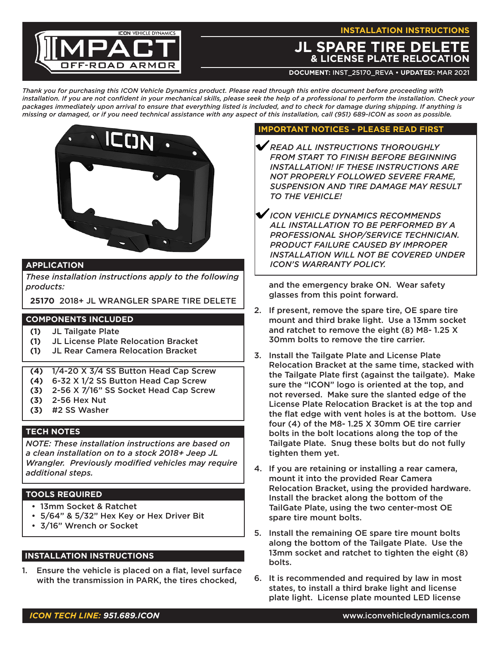#### **INSTALLATION INSTRUCTIONS**



# **JL SPARE TIRE DELET & LICENSE PLATE RELOCATION**

**DOCUMENT:** INST\_25170\_REVA **• UPDATED:** Mar 2021

*Thank you for purchasing this ICON Vehicle Dynamics product. Please read through this entire document before proceeding with installation. If you are not confident in your mechanical skills, please seek the help of a professional to perform the installation. Check your packages immediately upon arrival to ensure that everything listed is included, and to check for damage during shipping. If anything is missing or damaged, or if you need technical assistance with any aspect of this installation, call (951) 689-ICON as soon as possible.*



#### **APPLICATION**

*These installation instructions apply to the following products:*

**25170** 2018+ JL WRANGLER SPARE TIRE DELETE

#### **COMPONENTS INCLUDED**

- **(1)** JL Tailgate Plate
- **(1)** JL License Plate Relocation Bracket
- **(1)** JL Rear Camera Relocation Bracket
- **(4)** 1/4-20 X 3/4 SS Button Head Cap Screw
- **(4)** 6-32 X 1/2 SS Button Head Cap Screw
- **(3)** 2-56 X 7/16" SS Socket Head Cap Screw
- **(3)** 2-56 Hex Nut
- **(3)** #2 SS Washer

## **TECH NOTES**

*NOTE: These installation instructions are based on a clean installation on to a stock 2018+ Jeep JL Wrangler. Previously modified vehicles may require additional steps.*

## **TOOLS REQUIRED**

- 13mm Socket & Ratchet
- 5/64" & 5/32" Hex Key or Hex Driver Bit
- 3/16" Wrench or Socket

## **INSTALLATION INSTRUCTIONS**

1. Ensure the vehicle is placed on a flat, level surface with the transmission in PARK, the tires chocked,

#### **IMPORTANT NOTICES - PLEASE READ FIRST**

- *READ ALL INSTRUCTIONS THOROUGHLY FROM START TO FINISH BEFORE BEGINNING INSTALLATION! IF THESE INSTRUCTIONS ARE NOT PROPERLY FOLLOWED SEVERE FRAME, SUSPENSION AND TIRE DAMAGE MAY RESULT*  **TO THE VEHICLE!**
- *ICON VEHICLE DYNAMICS RECOMMENDS ALL INSTALLATION TO BE PERFORMED BY A PROFESSIONAL SHOP/SERVICE TECHNICIAN. PRODUCT FAILURE CAUSED BY IMPROPER INSTALLATION WILL NOT BE COVERED UNDER ICON'S WARRANTY POLICY.*

and the emergency brake ON. Wear safety glasses from this point forward.

- 2. If present, remove the spare tire, OE spare tire mount and third brake light. Use a 13mm socket and ratchet to remove the eight (8) M8- 1.25 X 30mm bolts to remove the tire carrier.
- 3. Install the Tailgate Plate and License Plate Relocation Bracket at the same time, stacked with the Tailgate Plate first (against the tailgate). Make sure the "ICON" logo is oriented at the top, and not reversed. Make sure the slanted edge of the License Plate Relocation Bracket is at the top and the flat edge with vent holes is at the bottom. Use four (4) of the M8- 1.25 X 30mm OE tire carrier bolts in the bolt locations along the top of the Tailgate Plate. Snug these bolts but do not fully tighten them yet.
- 4. If you are retaining or installing a rear camera, mount it into the provided Rear Camera Relocation Bracket, using the provided hardware. Install the bracket along the bottom of the TailGate Plate, using the two center-most OE spare tire mount bolts.
- 5. Install the remaining OE spare tire mount bolts along the bottom of the Tailgate Plate. Use the 13mm socket and ratchet to tighten the eight (8) bolts.
- 6. It is recommended and required by law in most states, to install a third brake light and license plate light. License plate mounted LED license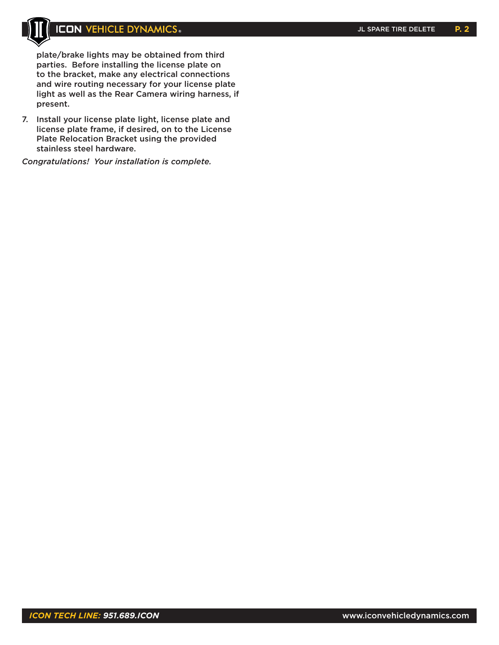# **ICON VEHICLE DYNAMICS.**

plate/brake lights may be obtained from third parties. Before installing the license plate on to the bracket, make any electrical connections and wire routing necessary for your license plate light as well as the Rear Camera wiring harness, if present.

7. Install your license plate light, license plate and license plate frame, if desired, on to the License Plate Relocation Bracket using the provided stainless steel hardware.

*Congratulations! Your installation is complete.*